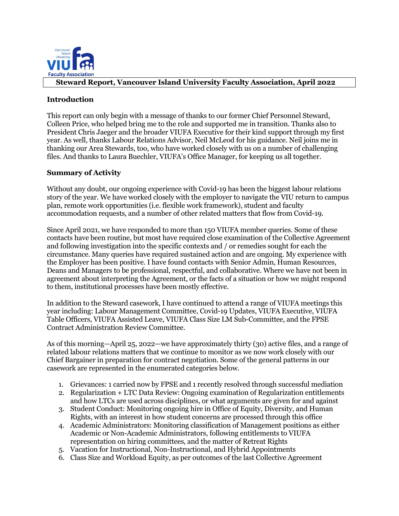

## **Steward Report, Vancouver Island University Faculty Association, April 2022**

## **Introduction**

This report can only begin with a message of thanks to our former Chief Personnel Steward, Colleen Price, who helped bring me to the role and supported me in transition. Thanks also to President Chris Jaeger and the broader VIUFA Executive for their kind support through my first year. As well, thanks Labour Relations Advisor, Neil McLeod for his guidance. Neil joins me in thanking our Area Stewards, too, who have worked closely with us on a number of challenging files. And thanks to Laura Buechler, VIUFA's Office Manager, for keeping us all together.

## **Summary of Activity**

Without any doubt, our ongoing experience with Covid-19 has been the biggest labour relations story of the year. We have worked closely with the employer to navigate the VIU return to campus plan, remote work opportunities (i.e. flexible work framework), student and faculty accommodation requests, and a number of other related matters that flow from Covid-19.

Since April 2021, we have responded to more than 150 VIUFA member queries. Some of these contacts have been routine, but most have required close examination of the Collective Agreement and following investigation into the specific contexts and / or remedies sought for each the circumstance. Many queries have required sustained action and are ongoing. My experience with the Employer has been positive. I have found contacts with Senior Admin, Human Resources, Deans and Managers to be professional, respectful, and collaborative. Where we have not been in agreement about interpreting the Agreement, or the facts of a situation or how we might respond to them, institutional processes have been mostly effective.

In addition to the Steward casework, I have continued to attend a range of VIUFA meetings this year including: Labour Management Committee, Covid-19 Updates, VIUFA Executive, VIUFA Table Officers, VIUFA Assisted Leave, VIUFA Class Size LM Sub-Committee, and the FPSE Contract Administration Review Committee.

As of this morning—April 25, 2022—we have approximately thirty (30) active files, and a range of related labour relations matters that we continue to monitor as we now work closely with our Chief Bargainer in preparation for contract negotiation. Some of the general patterns in our casework are represented in the enumerated categories below.

- 1. Grievances: 1 carried now by FPSE and 1 recently resolved through successful mediation
- 2. Regularization + LTC Data Review: Ongoing examination of Regularization entitlements and how LTCs are used across disciplines, or what arguments are given for and against
- 3. Student Conduct: Monitoring ongoing hire in Office of Equity, Diversity, and Human Rights, with an interest in how student concerns are processed through this office
- 4. Academic Administrators: Monitoring classification of Management positions as either Academic or Non-Academic Administrators, following entitlements to VIUFA representation on hiring committees, and the matter of Retreat Rights
- 5. Vacation for Instructional, Non-Instructional, and Hybrid Appointments
- 6. Class Size and Workload Equity, as per outcomes of the last Collective Agreement